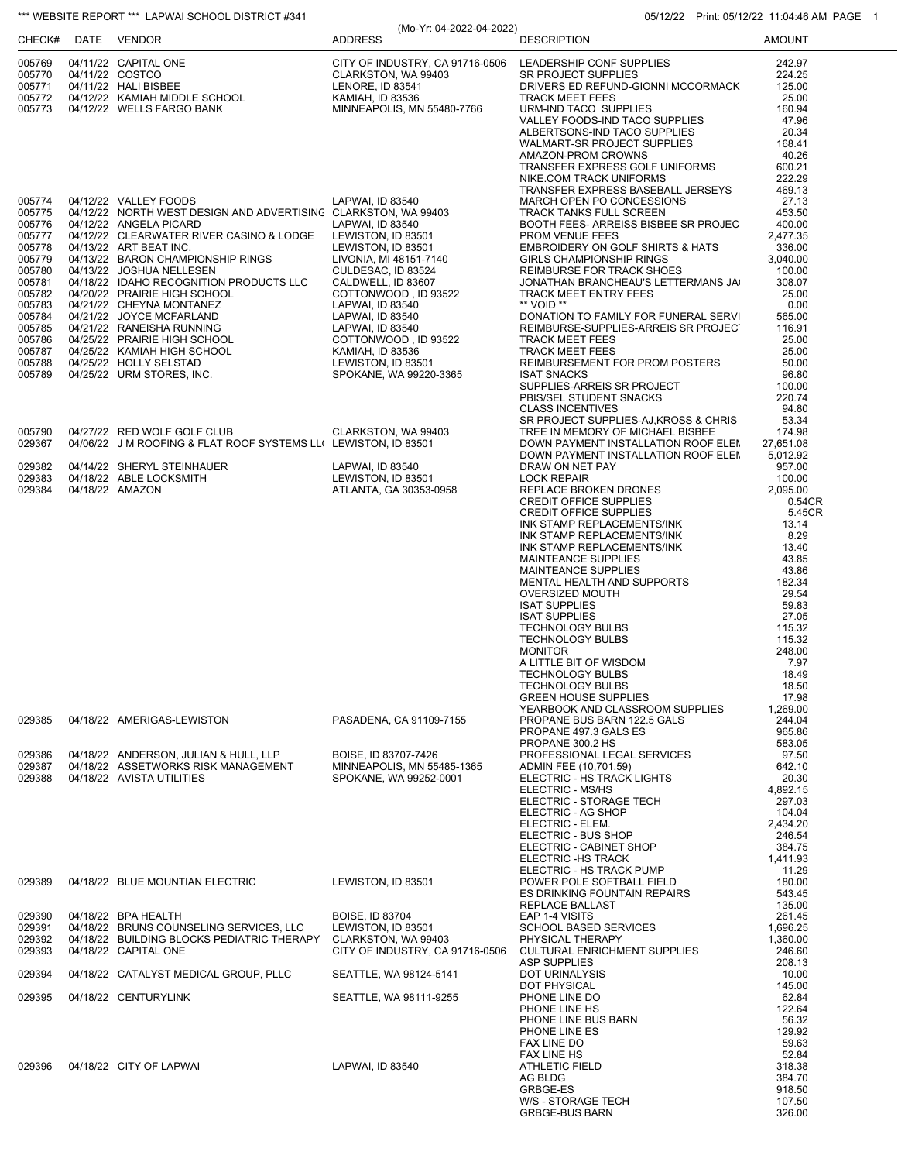| *** WEBSITE REPORT *** LAPWAI SCHOOL DISTRICT #341<br>05/12/22 Print: 05/12/22 11:04:46 AM PAGE 1                                                            |  |                                                                                                                                                                                                                                                                                                                                                                                                                                                                                                                                                |                                                                                                                                                                                                                                                              |                                                                        |                                                                                                                                                                                                                                                                                                                                                                                                                                                                                                                                                                                                                                            |                                                                                                                                                                                                                                      |
|--------------------------------------------------------------------------------------------------------------------------------------------------------------|--|------------------------------------------------------------------------------------------------------------------------------------------------------------------------------------------------------------------------------------------------------------------------------------------------------------------------------------------------------------------------------------------------------------------------------------------------------------------------------------------------------------------------------------------------|--------------------------------------------------------------------------------------------------------------------------------------------------------------------------------------------------------------------------------------------------------------|------------------------------------------------------------------------|--------------------------------------------------------------------------------------------------------------------------------------------------------------------------------------------------------------------------------------------------------------------------------------------------------------------------------------------------------------------------------------------------------------------------------------------------------------------------------------------------------------------------------------------------------------------------------------------------------------------------------------------|--------------------------------------------------------------------------------------------------------------------------------------------------------------------------------------------------------------------------------------|
| CHECK#                                                                                                                                                       |  | DATE VENDOR                                                                                                                                                                                                                                                                                                                                                                                                                                                                                                                                    | <b>ADDRESS</b>                                                                                                                                                                                                                                               | (Mo-Yr: 04-2022-04-2022)                                               | <b>DESCRIPTION</b>                                                                                                                                                                                                                                                                                                                                                                                                                                                                                                                                                                                                                         | <b>AMOUNT</b>                                                                                                                                                                                                                        |
| 005769<br>005770<br>005771<br>005772<br>005773                                                                                                               |  | 04/11/22 CAPITAL ONE<br>04/11/22 COSTCO<br>04/11/22 HALI BISBEE<br>04/12/22 KAMIAH MIDDLE SCHOOL<br>04/12/22 WELLS FARGO BANK                                                                                                                                                                                                                                                                                                                                                                                                                  | CLARKSTON, WA 99403<br>LENORE, ID 83541<br>KAMIAH, ID 83536                                                                                                                                                                                                  | CITY OF INDUSTRY, CA 91716-0506<br>MINNEAPOLIS, MN 55480-7766          | LEADERSHIP CONF SUPPLIES<br>SR PROJECT SUPPLIES<br>DRIVERS ED REFUND-GIONNI MCCORMACK<br><b>TRACK MEET FEES</b><br>URM-IND TACO SUPPLIES<br>VALLEY FOODS-IND TACO SUPPLIES<br>ALBERTSONS-IND TACO SUPPLIES<br>WALMART-SR PROJECT SUPPLIES<br>AMAZON-PROM CROWNS<br>TRANSFER EXPRESS GOLF UNIFORMS<br>NIKE.COM TRACK UNIFORMS                                                                                                                                                                                                                                                                                                               | 242.97<br>224.25<br>125.00<br>25.00<br>160.94<br>47.96<br>20.34<br>168.41<br>40.26<br>600.21<br>222.29                                                                                                                               |
| 005774<br>005775<br>005776<br>005777<br>005778<br>005779<br>005780<br>005781<br>005782<br>005783<br>005784<br>005785<br>005786<br>005787<br>005788<br>005789 |  | 04/12/22 VALLEY FOODS<br>04/12/22 NORTH WEST DESIGN AND ADVERTISING CLARKSTON, WA 99403<br>04/12/22 ANGELA PICARD<br>04/12/22 CLEARWATER RIVER CASINO & LODGE<br>04/13/22 ART BEAT INC.<br>04/13/22 BARON CHAMPIONSHIP RINGS<br>04/13/22 JOSHUA NELLESEN<br>04/18/22 IDAHO RECOGNITION PRODUCTS LLC<br>04/20/22 PRAIRIE HIGH SCHOOL<br>04/21/22 CHEYNA MONTANEZ<br>04/21/22 JOYCE MCFARLAND<br>04/21/22 RANEISHA RUNNING<br>04/25/22 PRAIRIE HIGH SCHOOL<br>04/25/22 KAMIAH HIGH SCHOOL<br>04/25/22 HOLLY SELSTAD<br>04/25/22 URM STORES, INC. | LAPWAI, ID 83540<br>LAPWAI, ID 83540<br>LEWISTON, ID 83501<br>LEWISTON, ID 83501<br>LIVONIA, MI 48151-7140<br>CULDESAC, ID 83524<br>CALDWELL, ID 83607<br>LAPWAI, ID 83540<br>LAPWAI, ID 83540<br>LAPWAI, ID 83540<br>KAMIAH, ID 83536<br>LEWISTON, ID 83501 | COTTONWOOD, ID 93522<br>COTTONWOOD, ID 93522<br>SPOKANE, WA 99220-3365 | TRANSFER EXPRESS BASEBALL JERSEYS<br>MARCH OPEN PO CONCESSIONS<br>TRACK TANKS FULL SCREEN<br>BOOTH FEES- ARREISS BISBEE SR PROJEC<br>PROM VENUE FEES<br>EMBROIDERY ON GOLF SHIRTS & HATS<br><b>GIRLS CHAMPIONSHIP RINGS</b><br>REIMBURSE FOR TRACK SHOES<br>JONATHAN BRANCHEAU'S LETTERMANS JA<br><b>TRACK MEET ENTRY FEES</b><br>** VOID **<br>DONATION TO FAMILY FOR FUNERAL SERVI<br>REIMBURSE-SUPPLIES-ARREIS SR PROJECT<br><b>TRACK MEET FEES</b><br><b>TRACK MEET FEES</b><br>REIMBURSEMENT FOR PROM POSTERS<br><b>ISAT SNACKS</b><br>SUPPLIES-ARREIS SR PROJECT<br>PBIS/SEL STUDENT SNACKS<br><b>CLASS INCENTIVES</b>               | 469.13<br>27.13<br>453.50<br>400.00<br>2,477.35<br>336.00<br>3,040.00<br>100.00<br>308.07<br>25.00<br>0.00<br>565.00<br>116.91<br>25.00<br>25.00<br>50.00<br>96.80<br>100.00<br>220.74<br>94.80                                      |
| 005790<br>029367                                                                                                                                             |  | 04/27/22 RED WOLF GOLF CLUB<br>04/06/22 J M ROOFING & FLAT ROOF SYSTEMS LL( LEWISTON, ID 83501                                                                                                                                                                                                                                                                                                                                                                                                                                                 | CLARKSTON, WA 99403                                                                                                                                                                                                                                          |                                                                        | SR PROJECT SUPPLIES-AJ.KROSS & CHRIS<br>TREE IN MEMORY OF MICHAEL BISBEE<br>DOWN PAYMENT INSTALLATION ROOF ELEM                                                                                                                                                                                                                                                                                                                                                                                                                                                                                                                            | 53.34<br>174.98<br>27,651.08                                                                                                                                                                                                         |
| 029382<br>029383<br>029384<br>029385                                                                                                                         |  | 04/14/22 SHERYL STEINHAUER<br>04/18/22 ABLE LOCKSMITH<br>04/18/22 AMAZON<br>04/18/22 AMERIGAS-LEWISTON                                                                                                                                                                                                                                                                                                                                                                                                                                         | LAPWAI, ID 83540<br>LEWISTON, ID 83501                                                                                                                                                                                                                       | ATLANTA, GA 30353-0958                                                 | DOWN PAYMENT INSTALLATION ROOF ELEM<br>DRAW ON NET PAY<br><b>LOCK REPAIR</b><br>REPLACE BROKEN DRONES<br><b>CREDIT OFFICE SUPPLIES</b><br><b>CREDIT OFFICE SUPPLIES</b><br>INK STAMP REPLACEMENTS/INK<br>INK STAMP REPLACEMENTS/INK<br>INK STAMP REPLACEMENTS/INK<br><b>MAINTEANCE SUPPLIES</b><br><b>MAINTEANCE SUPPLIES</b><br>MENTAL HEALTH AND SUPPORTS<br>OVERSIZED MOUTH<br><b>ISAT SUPPLIES</b><br><b>ISAT SUPPLIES</b><br>TECHNOLOGY BULBS<br>TECHNOLOGY BULBS<br><b>MONITOR</b><br>A LITTLE BIT OF WISDOM<br><b>TECHNOLOGY BULBS</b><br><b>TECHNOLOGY BULBS</b><br><b>GREEN HOUSE SUPPLIES</b><br>YEARBOOK AND CLASSROOM SUPPLIES | 5,012.92<br>957.00<br>100.00<br>2,095.00<br>0.54CR<br>5.45CR<br>13.14<br>8.29<br>13.40<br>43.85<br>43.86<br>182.34<br>29.54<br>59.83<br>27.05<br>115.32<br>115.32<br>248.00<br>7.97<br>18.49<br>18.50<br>17.98<br>1,269.00<br>244.04 |
|                                                                                                                                                              |  |                                                                                                                                                                                                                                                                                                                                                                                                                                                                                                                                                |                                                                                                                                                                                                                                                              | PASADENA, CA 91109-7155                                                | PROPANE BUS BARN 122.5 GALS<br>PROPANE 497.3 GALS ES<br>PROPANE 300.2 HS                                                                                                                                                                                                                                                                                                                                                                                                                                                                                                                                                                   | 965.86<br>583.05                                                                                                                                                                                                                     |
| 029386<br>029387<br>029388                                                                                                                                   |  | 04/18/22 ANDERSON, JULIAN & HULL, LLP<br>04/18/22 ASSETWORKS RISK MANAGEMENT<br>04/18/22 AVISTA UTILITIES                                                                                                                                                                                                                                                                                                                                                                                                                                      | BOISE, ID 83707-7426                                                                                                                                                                                                                                         | MINNEAPOLIS, MN 55485-1365<br>SPOKANE, WA 99252-0001                   | PROFESSIONAL LEGAL SERVICES<br>ADMIN FEE (10,701.59)<br>ELECTRIC - HS TRACK LIGHTS<br>ELECTRIC - MS/HS<br>ELECTRIC - STORAGE TECH<br>ELECTRIC - AG SHOP<br>ELECTRIC - ELEM.<br>ELECTRIC - BUS SHOP<br>ELECTRIC - CABINET SHOP<br>ELECTRIC - HS TRACK<br>ELECTRIC - HS TRACK PUMP                                                                                                                                                                                                                                                                                                                                                           | 97.50<br>642.10<br>20.30<br>4,892.15<br>297.03<br>104.04<br>2,434.20<br>246.54<br>384.75<br>1,411.93<br>11.29                                                                                                                        |
| 029389                                                                                                                                                       |  | 04/18/22 BLUE MOUNTIAN ELECTRIC                                                                                                                                                                                                                                                                                                                                                                                                                                                                                                                | LEWISTON, ID 83501                                                                                                                                                                                                                                           |                                                                        | POWER POLE SOFTBALL FIELD<br>ES DRINKING FOUNTAIN REPAIRS<br>REPLACE BALLAST                                                                                                                                                                                                                                                                                                                                                                                                                                                                                                                                                               | 180.00<br>543.45<br>135.00                                                                                                                                                                                                           |
| 029390<br>029391<br>029392<br>029393                                                                                                                         |  | 04/18/22 BPA HEALTH<br>04/18/22 BRUNS COUNSELING SERVICES, LLC<br>04/18/22 BUILDING BLOCKS PEDIATRIC THERAPY<br>04/18/22 CAPITAL ONE                                                                                                                                                                                                                                                                                                                                                                                                           | <b>BOISE, ID 83704</b><br>LEWISTON, ID 83501<br>CLARKSTON, WA 99403                                                                                                                                                                                          | CITY OF INDUSTRY, CA 91716-0506                                        | EAP 1-4 VISITS<br><b>SCHOOL BASED SERVICES</b><br>PHYSICAL THERAPY<br><b>CULTURAL ENRICHMENT SUPPLIES</b><br>ASP SUPPLIES                                                                                                                                                                                                                                                                                                                                                                                                                                                                                                                  | 261.45<br>1,696.25<br>1,360.00<br>246.60<br>208.13                                                                                                                                                                                   |
| 029394                                                                                                                                                       |  | 04/18/22 CATALYST MEDICAL GROUP, PLLC                                                                                                                                                                                                                                                                                                                                                                                                                                                                                                          |                                                                                                                                                                                                                                                              | SEATTLE, WA 98124-5141                                                 | DOT URINALYSIS                                                                                                                                                                                                                                                                                                                                                                                                                                                                                                                                                                                                                             | 10.00                                                                                                                                                                                                                                |
| 029395<br>029396                                                                                                                                             |  | 04/18/22 CENTURYLINK<br>04/18/22 CITY OF LAPWAI                                                                                                                                                                                                                                                                                                                                                                                                                                                                                                | LAPWAI, ID 83540                                                                                                                                                                                                                                             | SEATTLE, WA 98111-9255                                                 | DOT PHYSICAL<br>PHONE LINE DO<br>PHONE LINE HS<br>PHONE LINE BUS BARN<br>PHONE LINE ES<br>FAX LINE DO<br>FAX LINE HS<br>ATHLETIC FIELD<br>AG BLDG<br>GRBGE-ES                                                                                                                                                                                                                                                                                                                                                                                                                                                                              | 145.00<br>62.84<br>122.64<br>56.32<br>129.92<br>59.63<br>52.84<br>318.38<br>384.70<br>918.50                                                                                                                                         |
|                                                                                                                                                              |  |                                                                                                                                                                                                                                                                                                                                                                                                                                                                                                                                                |                                                                                                                                                                                                                                                              |                                                                        | W/S - STORAGE TECH<br>GRBGE-BUS BARN                                                                                                                                                                                                                                                                                                                                                                                                                                                                                                                                                                                                       | 107.50<br>326.00                                                                                                                                                                                                                     |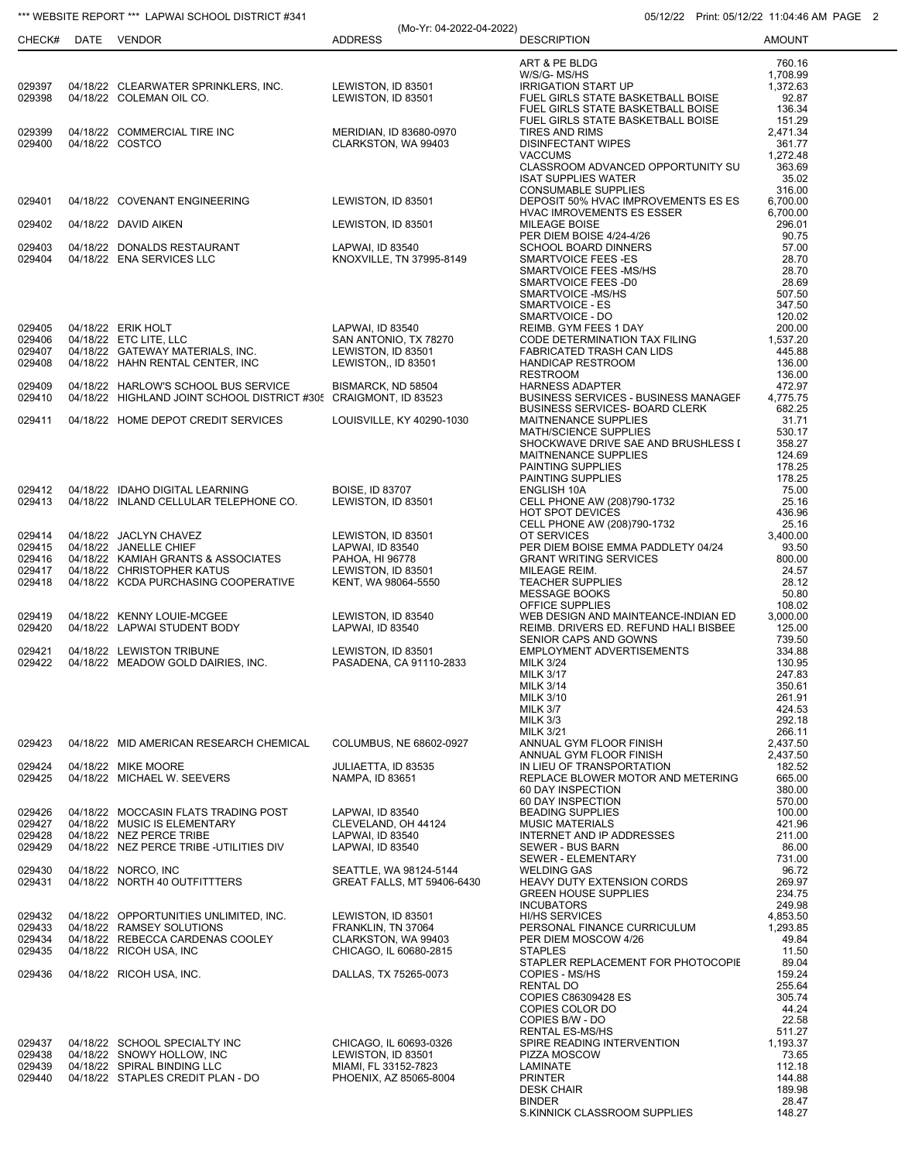## \*\*\* WEBSITE REPORT \*\*\* LAPWAI SCHOOL DISTRICT #341 05/12/22 Print: 05/12/22 Print: 05/12/22 11:04:46 AM PAGE 2

|                  |                                                                      |                                           | (Mo-Yr: 04-2022-04-2022)                             |                                                                                      |                      |
|------------------|----------------------------------------------------------------------|-------------------------------------------|------------------------------------------------------|--------------------------------------------------------------------------------------|----------------------|
| CHECK#           | DATE VENDOR                                                          | <b>ADDRESS</b>                            |                                                      | <b>DESCRIPTION</b>                                                                   | <b>AMOUNT</b>        |
|                  |                                                                      |                                           |                                                      | ART & PE BLDG                                                                        | 760.16               |
|                  |                                                                      |                                           |                                                      | W/S/G-MS/HS                                                                          | 1,708.99             |
| 029397           | 04/18/22 CLEARWATER SPRINKLERS, INC.                                 | LEWISTON, ID 83501                        |                                                      | <b>IRRIGATION START UP</b>                                                           | 1,372.63             |
| 029398           | 04/18/22 COLEMAN OIL CO.                                             | LEWISTON, ID 83501                        |                                                      | FUEL GIRLS STATE BASKETBALL BOISE<br>FUEL GIRLS STATE BASKETBALL BOISE               | 92.87<br>136.34      |
|                  |                                                                      |                                           |                                                      | FUEL GIRLS STATE BASKETBALL BOISE                                                    | 151.29               |
| 029399           | 04/18/22 COMMERCIAL TIRE INC                                         |                                           | MERIDIAN, ID 83680-0970                              | <b>TIRES AND RIMS</b>                                                                | 2,471.34             |
| 029400           | 04/18/22 COSTCO                                                      | CLARKSTON, WA 99403                       |                                                      | <b>DISINFECTANT WIPES</b><br><b>VACCUMS</b>                                          | 361.77<br>1,272.48   |
|                  |                                                                      |                                           |                                                      | CLASSROOM ADVANCED OPPORTUNITY SU                                                    | 363.69               |
|                  |                                                                      |                                           |                                                      | <b>ISAT SUPPLIES WATER</b>                                                           | 35.02                |
|                  |                                                                      |                                           |                                                      | <b>CONSUMABLE SUPPLIES</b>                                                           | 316.00               |
| 029401           | 04/18/22 COVENANT ENGINEERING                                        | LEWISTON, ID 83501                        |                                                      | DEPOSIT 50% HVAC IMPROVEMENTS ES ES<br><b>HVAC IMROVEMENTS ES ESSER</b>              | 6,700.00<br>6,700.00 |
| 029402           | 04/18/22 DAVID AIKEN                                                 | LEWISTON, ID 83501                        |                                                      | <b>MILEAGE BOISE</b>                                                                 | 296.01               |
|                  |                                                                      |                                           |                                                      | PER DIEM BOISE 4/24-4/26                                                             | 90.75                |
| 029403<br>029404 | 04/18/22 DONALDS RESTAURANT<br>04/18/22 ENA SERVICES LLC             | LAPWAI, ID 83540                          | KNOXVILLE, TN 37995-8149                             | <b>SCHOOL BOARD DINNERS</b><br>SMARTVOICE FEES-ES                                    | 57.00<br>28.70       |
|                  |                                                                      |                                           |                                                      | SMARTVOICE FEES -MS/HS                                                               | 28.70                |
|                  |                                                                      |                                           |                                                      | SMARTVOICE FEES -D0                                                                  | 28.69                |
|                  |                                                                      |                                           |                                                      | SMARTVOICE -MS/HS<br><b>SMARTVOICE - ES</b>                                          | 507.50<br>347.50     |
|                  |                                                                      |                                           |                                                      | SMARTVOICE - DO                                                                      | 120.02               |
| 029405           | 04/18/22 ERIK HOLT                                                   | LAPWAI, ID 83540                          |                                                      | REIMB. GYM FEES 1 DAY                                                                | 200.00               |
| 029406           | 04/18/22 ETC LITE, LLC                                               | SAN ANTONIO, TX 78270                     |                                                      | CODE DETERMINATION TAX FILING                                                        | 1.537.20             |
| 029407<br>029408 | 04/18/22 GATEWAY MATERIALS, INC.<br>04/18/22 HAHN RENTAL CENTER, INC | LEWISTON, ID 83501<br>LEWISTON,, ID 83501 |                                                      | FABRICATED TRASH CAN LIDS<br><b>HANDICAP RESTROOM</b>                                | 445.88<br>136.00     |
|                  |                                                                      |                                           |                                                      | <b>RESTROOM</b>                                                                      | 136.00               |
| 029409           | 04/18/22 HARLOW'S SCHOOL BUS SERVICE                                 | BISMARCK, ND 58504                        |                                                      | <b>HARNESS ADAPTER</b>                                                               | 472.97               |
| 029410           | 04/18/22 HIGHLAND JOINT SCHOOL DISTRICT #305 CRAIGMONT, ID 83523     |                                           |                                                      | <b>BUSINESS SERVICES - BUSINESS MANAGEF</b><br><b>BUSINESS SERVICES- BOARD CLERK</b> | 4,775.75<br>682.25   |
| 029411           | 04/18/22 HOME DEPOT CREDIT SERVICES                                  |                                           | LOUISVILLE, KY 40290-1030                            | MAITNENANCE SUPPLIES                                                                 | 31.71                |
|                  |                                                                      |                                           |                                                      | <b>MATH/SCIENCE SUPPLIES</b>                                                         | 530.17               |
|                  |                                                                      |                                           |                                                      | SHOCKWAVE DRIVE SAE AND BRUSHLESS I                                                  | 358.27               |
|                  |                                                                      |                                           |                                                      | MAITNENANCE SUPPLIES<br>PAINTING SUPPLIES                                            | 124.69<br>178.25     |
|                  |                                                                      |                                           |                                                      | PAINTING SUPPLIES                                                                    | 178.25               |
| 029412           | 04/18/22 IDAHO DIGITAL LEARNING                                      | <b>BOISE, ID 83707</b>                    |                                                      | <b>ENGLISH 10A</b>                                                                   | 75.00                |
| 029413           | 04/18/22 INLAND CELLULAR TELEPHONE CO.                               | LEWISTON, ID 83501                        |                                                      | CELL PHONE AW (208)790-1732<br><b>HOT SPOT DEVICES</b>                               | 25.16<br>436.96      |
|                  |                                                                      |                                           |                                                      | CELL PHONE AW (208)790-1732                                                          | 25.16                |
| 029414           | 04/18/22 JACLYN CHAVEZ                                               | LEWISTON, ID 83501                        |                                                      | OT SERVICES                                                                          | 3,400.00             |
| 029415           | 04/18/22 JANELLE CHIEF                                               | LAPWAI, ID 83540                          |                                                      | PER DIEM BOISE EMMA PADDLETY 04/24                                                   | 93.50                |
| 029416<br>029417 | 04/18/22 KAMIAH GRANTS & ASSOCIATES<br>04/18/22 CHRISTOPHER KATUS    | PAHOA, HI 96778<br>LEWISTON, ID 83501     |                                                      | <b>GRANT WRITING SERVICES</b><br>MILEAGE REIM.                                       | 800.00<br>24.57      |
| 029418           | 04/18/22 KCDA PURCHASING COOPERATIVE                                 | KENT, WA 98064-5550                       |                                                      | <b>TEACHER SUPPLIES</b>                                                              | 28.12                |
|                  |                                                                      |                                           |                                                      | <b>MESSAGE BOOKS</b>                                                                 | 50.80                |
| 029419           | 04/18/22 KENNY LOUIE-MCGEE                                           |                                           |                                                      | OFFICE SUPPLIES                                                                      | 108.02<br>3,000.00   |
| 029420           | 04/18/22 LAPWAI STUDENT BODY                                         | LEWISTON, ID 83540<br>LAPWAI, ID 83540    |                                                      | WEB DESIGN AND MAINTEANCE-INDIAN ED<br>REIMB. DRIVERS ED. REFUND HALI BISBEE         | 125.00               |
|                  |                                                                      |                                           |                                                      | SENIOR CAPS AND GOWNS                                                                | 739.50               |
| 029421           | 04/18/22 LEWISTON TRIBUNE                                            | LEWISTON, ID 83501                        |                                                      | EMPLOYMENT ADVERTISEMENTS                                                            | 334.88               |
| 029422           | 04/18/22 MEADOW GOLD DAIRIES, INC.                                   |                                           | PASADENA, CA 91110-2833                              | <b>MILK 3/24</b><br><b>MILK 3/17</b>                                                 | 130.95<br>247.83     |
|                  |                                                                      |                                           |                                                      | <b>MILK 3/14</b>                                                                     | 350.61               |
|                  |                                                                      |                                           |                                                      | <b>MILK 3/10</b>                                                                     | 261.91               |
|                  |                                                                      |                                           |                                                      | MILK 3/7<br><b>MILK 3/3</b>                                                          | 424.53<br>292.18     |
|                  |                                                                      |                                           |                                                      | <b>MILK 3/21</b>                                                                     | 266.11               |
| 029423           | 04/18/22 MID AMERICAN RESEARCH CHEMICAL                              |                                           | COLUMBUS, NE 68602-0927                              | ANNUAL GYM FLOOR FINISH                                                              | 2,437.50             |
|                  |                                                                      |                                           |                                                      | ANNUAL GYM FLOOR FINISH                                                              | 2,437.50             |
| 029424<br>029425 | 04/18/22 MIKE MOORE<br>04/18/22 MICHAEL W. SEEVERS                   | JULIAETTA, ID 83535<br>NAMPA, ID 83651    |                                                      | IN LIEU OF TRANSPORTATION<br>REPLACE BLOWER MOTOR AND METERING                       | 182.52<br>665.00     |
|                  |                                                                      |                                           |                                                      | 60 DAY INSPECTION                                                                    | 380.00               |
|                  |                                                                      |                                           |                                                      | 60 DAY INSPECTION                                                                    | 570.00               |
| 029426<br>029427 | 04/18/22 MOCCASIN FLATS TRADING POST<br>04/18/22 MUSIC IS ELEMENTARY | LAPWAI, ID 83540<br>CLEVELAND, OH 44124   |                                                      | <b>BEADING SUPPLIES</b><br><b>MUSIC MATERIALS</b>                                    | 100.00<br>421.96     |
| 029428           | 04/18/22 NEZ PERCE TRIBE                                             | LAPWAI. ID 83540                          |                                                      | INTERNET AND IP ADDRESSES                                                            | 211.00               |
| 029429           | 04/18/22 NEZ PERCE TRIBE -UTILITIES DIV                              | LAPWAI, ID 83540                          |                                                      | <b>SEWER - BUS BARN</b>                                                              | 86.00                |
|                  |                                                                      |                                           |                                                      | SEWER - ELEMENTARY                                                                   | 731.00               |
| 029430<br>029431 | 04/18/22 NORCO, INC<br>04/18/22 NORTH 40 OUTFITTTERS                 |                                           | SEATTLE, WA 98124-5144<br>GREAT FALLS, MT 59406-6430 | <b>WELDING GAS</b><br><b>HEAVY DUTY EXTENSION CORDS</b>                              | 96.72<br>269.97      |
|                  |                                                                      |                                           |                                                      | <b>GREEN HOUSE SUPPLIES</b>                                                          | 234.75               |
|                  |                                                                      |                                           |                                                      | <b>INCUBATORS</b>                                                                    | 249.98               |
| 029432<br>029433 | 04/18/22 OPPORTUNITIES UNLIMITED, INC.<br>04/18/22 RAMSEY SOLUTIONS  | LEWISTON, ID 83501<br>FRANKLIN, TN 37064  |                                                      | <b>HI/HS SERVICES</b><br>PERSONAL FINANCE CURRICULUM                                 | 4,853.50<br>1,293.85 |
| 029434           | 04/18/22 REBECCA CARDENAS COOLEY                                     | CLARKSTON, WA 99403                       |                                                      | PER DIEM MOSCOW 4/26                                                                 | 49.84                |
| 029435           | 04/18/22 RICOH USA, INC                                              | CHICAGO, IL 60680-2815                    |                                                      | <b>STAPLES</b>                                                                       | 11.50                |
|                  |                                                                      |                                           |                                                      | STAPLER REPLACEMENT FOR PHOTOCOPIE                                                   | 89.04                |
| 029436           | 04/18/22 RICOH USA, INC.                                             | DALLAS, TX 75265-0073                     |                                                      | COPIES - MS/HS<br><b>RENTAL DO</b>                                                   | 159.24<br>255.64     |
|                  |                                                                      |                                           |                                                      | COPIES C86309428 ES                                                                  | 305.74               |
|                  |                                                                      |                                           |                                                      | COPIES COLOR DO                                                                      | 44.24                |
|                  |                                                                      |                                           |                                                      | COPIES B/W - DO<br><b>RENTAL ES-MS/HS</b>                                            | 22.58<br>511.27      |
| 029437           | 04/18/22 SCHOOL SPECIALTY INC                                        | CHICAGO, IL 60693-0326                    |                                                      | SPIRE READING INTERVENTION                                                           | 1,193.37             |
| 029438           | 04/18/22 SNOWY HOLLOW, INC                                           | LEWISTON, ID 83501                        |                                                      | PIZZA MOSCOW                                                                         | 73.65                |
| 029439           | 04/18/22 SPIRAL BINDING LLC                                          | MIAMI, FL 33152-7823                      |                                                      | LAMINATE                                                                             | 112.18               |
| 029440           | 04/18/22 STAPLES CREDIT PLAN - DO                                    |                                           | PHOENIX, AZ 85065-8004                               | <b>PRINTER</b><br><b>DESK CHAIR</b>                                                  | 144.88<br>189.98     |
|                  |                                                                      |                                           |                                                      | <b>BINDER</b>                                                                        | 28.47                |
|                  |                                                                      |                                           |                                                      | S.KINNICK CLASSROOM SUPPLIES                                                         | 148.27               |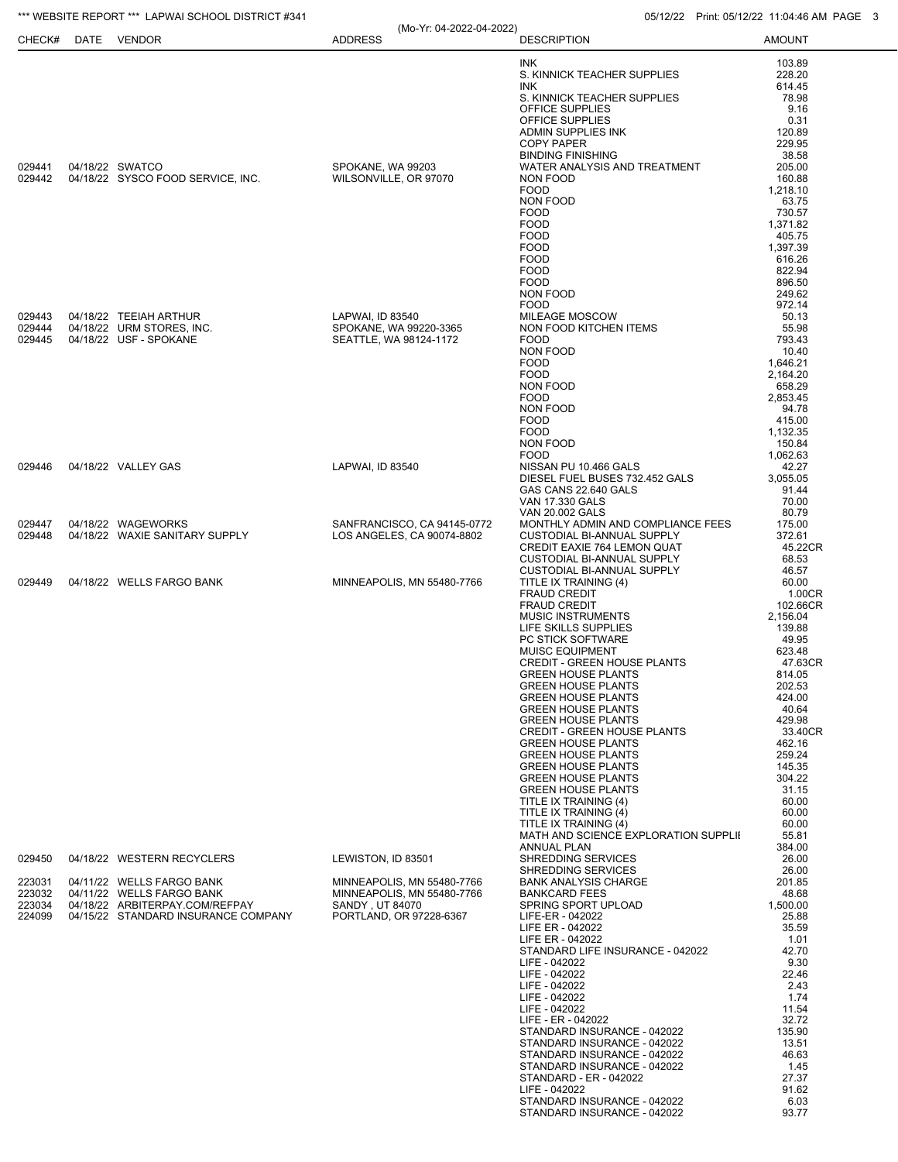\*\*\* WEBSITE REPORT \*\*\* LAPWAI SCHOOL DISTRICT #341 05/12/22 Print: 05/12/22 Print: 05/12/22 11:04:46 AM PAGE 3

(Mo-Yr: 04-2022-04-2022)

| CHECK#           | DATE | <b>VENDOR</b>                                               | <b>ADDRESS</b>                                | <b>DESCRIPTION</b>                                              | <b>AMOUNT</b>      |
|------------------|------|-------------------------------------------------------------|-----------------------------------------------|-----------------------------------------------------------------|--------------------|
|                  |      |                                                             |                                               | INK                                                             | 103.89             |
|                  |      |                                                             |                                               | S. KINNICK TEACHER SUPPLIES                                     | 228.20             |
|                  |      |                                                             |                                               | INK.<br>S. KINNICK TEACHER SUPPLIES                             | 614.45<br>78.98    |
|                  |      |                                                             |                                               | OFFICE SUPPLIES                                                 | 9.16               |
|                  |      |                                                             |                                               | OFFICE SUPPLIES                                                 | 0.31               |
|                  |      |                                                             |                                               | ADMIN SUPPLIES INK<br><b>COPY PAPER</b>                         | 120.89<br>229.95   |
|                  |      |                                                             |                                               | <b>BINDING FINISHING</b>                                        | 38.58              |
| 029441           |      | 04/18/22 SWATCO                                             | SPOKANE, WA 99203                             | WATER ANALYSIS AND TREATMENT                                    | 205.00             |
| 029442           |      | 04/18/22 SYSCO FOOD SERVICE, INC.                           | WILSONVILLE, OR 97070                         | NON FOOD                                                        | 160.88             |
|                  |      |                                                             |                                               | <b>FOOD</b><br>NON FOOD                                         | 1,218.10<br>63.75  |
|                  |      |                                                             |                                               | <b>FOOD</b>                                                     | 730.57             |
|                  |      |                                                             |                                               | <b>FOOD</b><br><b>FOOD</b>                                      | 1.371.82<br>405.75 |
|                  |      |                                                             |                                               | <b>FOOD</b>                                                     | 1,397.39           |
|                  |      |                                                             |                                               | <b>FOOD</b>                                                     | 616.26             |
|                  |      |                                                             |                                               | <b>FOOD</b><br><b>FOOD</b>                                      | 822.94<br>896.50   |
|                  |      |                                                             |                                               | NON FOOD                                                        | 249.62             |
|                  |      |                                                             |                                               | <b>FOOD</b>                                                     | 972.14             |
| 029443<br>029444 |      | 04/18/22 TEEIAH ARTHUR<br>04/18/22 URM STORES, INC.         | LAPWAI, ID 83540<br>SPOKANE, WA 99220-3365    | <b>MILEAGE MOSCOW</b>                                           | 50.13<br>55.98     |
| 029445           |      | 04/18/22 USF - SPOKANE                                      | SEATTLE, WA 98124-1172                        | NON FOOD KITCHEN ITEMS<br><b>FOOD</b>                           | 793.43             |
|                  |      |                                                             |                                               | <b>NON FOOD</b>                                                 | 10.40              |
|                  |      |                                                             |                                               | <b>FOOD</b>                                                     | 1,646.21           |
|                  |      |                                                             |                                               | <b>FOOD</b><br>NON FOOD                                         | 2,164.20<br>658.29 |
|                  |      |                                                             |                                               | <b>FOOD</b>                                                     | 2,853.45           |
|                  |      |                                                             |                                               | NON FOOD                                                        | 94.78              |
|                  |      |                                                             |                                               | <b>FOOD</b><br><b>FOOD</b>                                      | 415.00<br>1,132.35 |
|                  |      |                                                             |                                               | NON FOOD                                                        | 150.84             |
|                  |      |                                                             |                                               | <b>FOOD</b>                                                     | 1,062.63           |
| 029446           |      | 04/18/22 VALLEY GAS                                         | LAPWAI, ID 83540                              | NISSAN PU 10.466 GALS<br>DIESEL FUEL BUSES 732.452 GALS         | 42.27<br>3,055.05  |
|                  |      |                                                             |                                               | GAS CANS 22.640 GALS                                            | 91.44              |
|                  |      |                                                             |                                               | VAN 17.330 GALS                                                 | 70.00              |
| 029447           |      | 04/18/22 WAGEWORKS                                          | SANFRANCISCO, CA 94145-0772                   | <b>VAN 20.002 GALS</b><br>MONTHLY ADMIN AND COMPLIANCE FEES     | 80.79<br>175.00    |
| 029448           |      | 04/18/22 WAXIE SANITARY SUPPLY                              | LOS ANGELES, CA 90074-8802                    | CUSTODIAL BI-ANNUAL SUPPLY                                      | 372.61             |
|                  |      |                                                             |                                               | CREDIT EAXIE 764 LEMON QUAT                                     | 45.22CR            |
|                  |      |                                                             |                                               | <b>CUSTODIAL BI-ANNUAL SUPPLY</b>                               | 68.53              |
| 029449           |      | 04/18/22 WELLS FARGO BANK                                   | MINNEAPOLIS, MN 55480-7766                    | <b>CUSTODIAL BI-ANNUAL SUPPLY</b><br>TITLE IX TRAINING (4)      | 46.57<br>60.00     |
|                  |      |                                                             |                                               | <b>FRAUD CREDIT</b>                                             | 1.00CR             |
|                  |      |                                                             |                                               | <b>FRAUD CREDIT</b>                                             | 102.66CR           |
|                  |      |                                                             |                                               | <b>MUSIC INSTRUMENTS</b><br>LIFE SKILLS SUPPLIES                | 2,156.04<br>139.88 |
|                  |      |                                                             |                                               | PC STICK SOFTWARE                                               | 49.95              |
|                  |      |                                                             |                                               | <b>MUISC EQUIPMENT</b>                                          | 623.48             |
|                  |      |                                                             |                                               | <b>CREDIT - GREEN HOUSE PLANTS</b><br><b>GREEN HOUSE PLANTS</b> | 47.63CR<br>814.05  |
|                  |      |                                                             |                                               | <b>GREEN HOUSE PLANTS</b>                                       | 202.53             |
|                  |      |                                                             |                                               | <b>GREEN HOUSE PLANTS</b>                                       | 424.00             |
|                  |      |                                                             |                                               | <b>GREEN HOUSE PLANTS</b><br><b>GREEN HOUSE PLANTS</b>          | 40.64<br>429.98    |
|                  |      |                                                             |                                               | <b>CREDIT - GREEN HOUSE PLANTS</b>                              | 33.40CR            |
|                  |      |                                                             |                                               | <b>GREEN HOUSE PLANTS</b>                                       | 462.16             |
|                  |      |                                                             |                                               | <b>GREEN HOUSE PLANTS</b><br><b>GREEN HOUSE PLANTS</b>          | 259.24<br>145.35   |
|                  |      |                                                             |                                               | <b>GREEN HOUSE PLANTS</b>                                       | 304.22             |
|                  |      |                                                             |                                               | <b>GREEN HOUSE PLANTS</b>                                       | 31.15              |
|                  |      |                                                             |                                               | TITLE IX TRAINING (4)<br>TITLE IX TRAINING (4)                  | 60.00<br>60.00     |
|                  |      |                                                             |                                               | TITLE IX TRAINING (4)                                           | 60.00              |
|                  |      |                                                             |                                               | MATH AND SCIENCE EXPLORATION SUPPLII                            | 55.81              |
| 029450           |      | 04/18/22 WESTERN RECYCLERS                                  | LEWISTON, ID 83501                            | <b>ANNUAL PLAN</b><br><b>SHREDDING SERVICES</b>                 | 384.00<br>26.00    |
|                  |      |                                                             |                                               | SHREDDING SERVICES                                              | 26.00              |
| 223031           |      | 04/11/22 WELLS FARGO BANK                                   | MINNEAPOLIS, MN 55480-7766                    | <b>BANK ANALYSIS CHARGE</b>                                     | 201.85             |
| 223032<br>223034 |      | 04/11/22 WELLS FARGO BANK<br>04/18/22 ARBITERPAY.COM/REFPAY | MINNEAPOLIS, MN 55480-7766<br>SANDY, UT 84070 | <b>BANKCARD FEES</b><br>SPRING SPORT UPLOAD                     | 48.68<br>1,500.00  |
| 224099           |      | 04/15/22 STANDARD INSURANCE COMPANY                         | PORTLAND, OR 97228-6367                       | LIFE-ER - 042022                                                | 25.88              |
|                  |      |                                                             |                                               | LIFE ER - 042022                                                | 35.59              |
|                  |      |                                                             |                                               | LIFE ER - 042022<br>STANDARD LIFE INSURANCE - 042022            | 1.01<br>42.70      |
|                  |      |                                                             |                                               | LIFE - 042022                                                   | 9.30               |
|                  |      |                                                             |                                               | LIFE - 042022                                                   | 22.46              |
|                  |      |                                                             |                                               | LIFE - 042022<br>LIFE - 042022                                  | 2.43<br>1.74       |
|                  |      |                                                             |                                               | LIFE - 042022                                                   | 11.54              |
|                  |      |                                                             |                                               | LIFE - ER - 042022                                              | 32.72              |
|                  |      |                                                             |                                               | STANDARD INSURANCE - 042022<br>STANDARD INSURANCE - 042022      | 135.90<br>13.51    |
|                  |      |                                                             |                                               | STANDARD INSURANCE - 042022                                     | 46.63              |
|                  |      |                                                             |                                               | STANDARD INSURANCE - 042022                                     | 1.45               |
|                  |      |                                                             |                                               | STANDARD - ER - 042022<br>LIFE - 042022                         | 27.37<br>91.62     |
|                  |      |                                                             |                                               | STANDARD INSURANCE - 042022                                     | 6.03               |
|                  |      |                                                             |                                               | STANDARD INSURANCE - 042022                                     | 93.77              |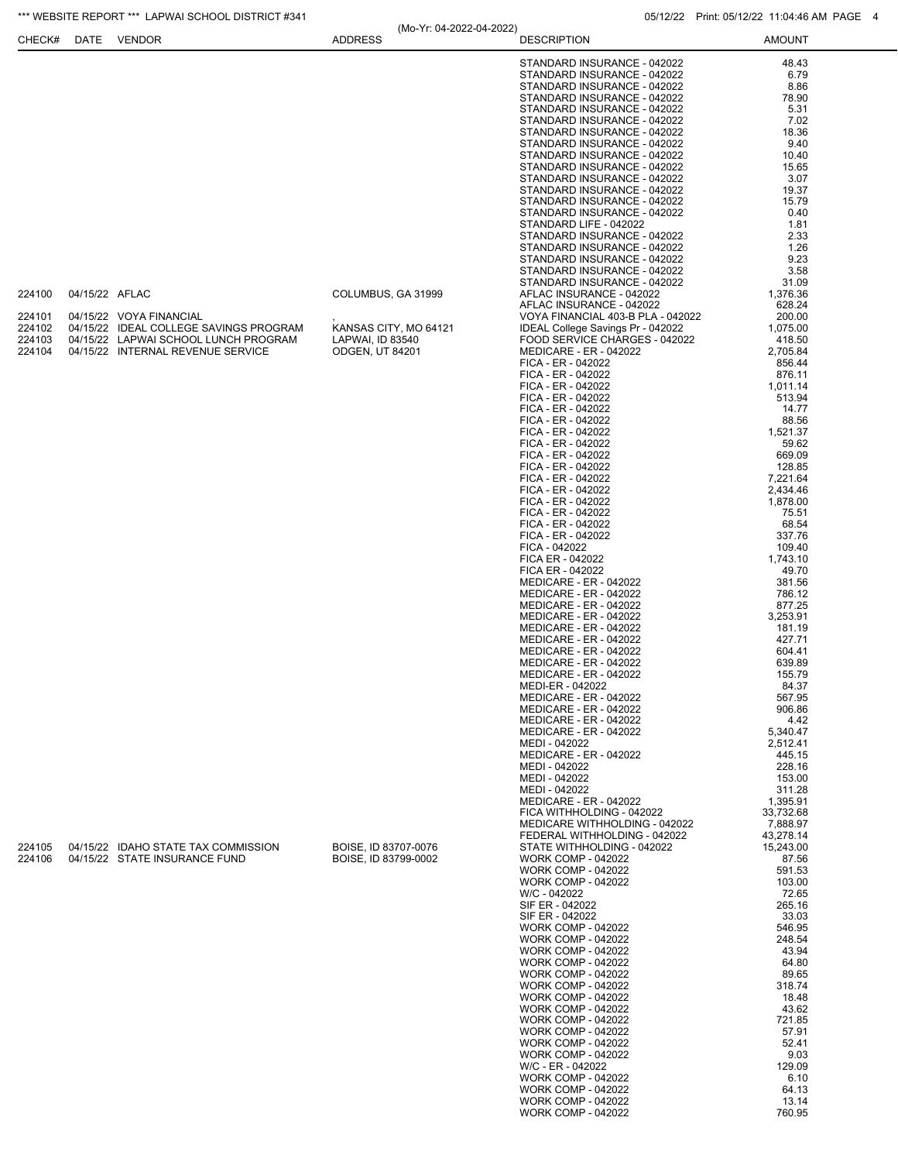|                                                |                | *** WEBSITE REPORT *** LAPWAI SCHOOL DISTRICT #341                                                                                             |                                                                  |                          |                                                                                                                                                                                                                                                                                                                                                                                                                                                                                                                                                                                                                                                                                                                                                                                                                                                                                                                                                                                                                                                                                                                                                                                                                                                                                                                                                                                                             | 05/12/22 Print: 05/12/22 11:04:46 AM PAGE 4                                                                                                                                                                                                                                                                                                                                                                                                                                                             |  |
|------------------------------------------------|----------------|------------------------------------------------------------------------------------------------------------------------------------------------|------------------------------------------------------------------|--------------------------|-------------------------------------------------------------------------------------------------------------------------------------------------------------------------------------------------------------------------------------------------------------------------------------------------------------------------------------------------------------------------------------------------------------------------------------------------------------------------------------------------------------------------------------------------------------------------------------------------------------------------------------------------------------------------------------------------------------------------------------------------------------------------------------------------------------------------------------------------------------------------------------------------------------------------------------------------------------------------------------------------------------------------------------------------------------------------------------------------------------------------------------------------------------------------------------------------------------------------------------------------------------------------------------------------------------------------------------------------------------------------------------------------------------|---------------------------------------------------------------------------------------------------------------------------------------------------------------------------------------------------------------------------------------------------------------------------------------------------------------------------------------------------------------------------------------------------------------------------------------------------------------------------------------------------------|--|
| CHECK#                                         |                | DATE VENDOR                                                                                                                                    | <b>ADDRESS</b>                                                   | (Mo-Yr: 04-2022-04-2022) | <b>DESCRIPTION</b>                                                                                                                                                                                                                                                                                                                                                                                                                                                                                                                                                                                                                                                                                                                                                                                                                                                                                                                                                                                                                                                                                                                                                                                                                                                                                                                                                                                          | <b>AMOUNT</b>                                                                                                                                                                                                                                                                                                                                                                                                                                                                                           |  |
| 224100<br>224101<br>224102<br>224103<br>224104 | 04/15/22 AFLAC | 04/15/22 VOYA FINANCIAL<br>04/15/22 IDEAL COLLEGE SAVINGS PROGRAM<br>04/15/22 LAPWAI SCHOOL LUNCH PROGRAM<br>04/15/22 INTERNAL REVENUE SERVICE | COLUMBUS, GA 31999<br>LAPWAI, ID 83540<br><b>ODGEN, UT 84201</b> | KANSAS CITY, MO 64121    | STANDARD INSURANCE - 042022<br>STANDARD INSURANCE - 042022<br>STANDARD INSURANCE - 042022<br>STANDARD INSURANCE - 042022<br>STANDARD INSURANCE - 042022<br>STANDARD INSURANCE - 042022<br>STANDARD INSURANCE - 042022<br>STANDARD INSURANCE - 042022<br>STANDARD INSURANCE - 042022<br>STANDARD INSURANCE - 042022<br>STANDARD INSURANCE - 042022<br>STANDARD INSURANCE - 042022<br>STANDARD INSURANCE - 042022<br>STANDARD INSURANCE - 042022<br>STANDARD LIFE - 042022<br>STANDARD INSURANCE - 042022<br>STANDARD INSURANCE - 042022<br>STANDARD INSURANCE - 042022<br>STANDARD INSURANCE - 042022<br>STANDARD INSURANCE - 042022<br>AFLAC INSURANCE - 042022<br>AFLAC INSURANCE - 042022<br>VOYA FINANCIAL 403-B PLA - 042022<br>IDEAL College Savings Pr - 042022<br>FOOD SERVICE CHARGES - 042022<br><b>MEDICARE - ER - 042022</b><br>FICA - ER - 042022<br>FICA - ER - 042022<br>FICA - ER - 042022<br>FICA - ER - 042022<br>FICA - ER - 042022<br>FICA - ER - 042022<br>FICA - ER - 042022<br>FICA - ER - 042022<br>FICA - ER - 042022<br>FICA - ER - 042022<br>FICA - ER - 042022<br>FICA - ER - 042022<br>FICA - ER - 042022<br>FICA - ER - 042022<br>FICA - ER - 042022<br>FICA - ER - 042022<br>FICA - 042022                                                                                                                                                                                    | 48.43<br>6.79<br>8.86<br>78.90<br>5.31<br>7.02<br>18.36<br>9.40<br>10.40<br>15.65<br>3.07<br>19.37<br>15.79<br>0.40<br>1.81<br>2.33<br>1.26<br>9.23<br>3.58<br>31.09<br>1,376.36<br>628.24<br>200.00<br>1,075.00<br>418.50<br>2,705.84<br>856.44<br>876.11<br>1,011.14<br>513.94<br>14.77<br>88.56<br>1,521.37<br>59.62<br>669.09<br>128.85<br>7,221.64<br>2,434.46<br>1,878.00<br>75.51<br>68.54<br>337.76<br>109.40                                                                                   |  |
| 224105<br>224106                               |                | 04/15/22 IDAHO STATE TAX COMMISSION<br>04/15/22 STATE INSURANCE FUND                                                                           | BOISE, ID 83707-0076<br>BOISE, ID 83799-0002                     |                          | FICA ER - 042022<br>FICA ER - 042022<br><b>MEDICARE - ER - 042022</b><br><b>MEDICARE - ER - 042022</b><br><b>MEDICARE - ER - 042022</b><br><b>MEDICARE - ER - 042022</b><br><b>MEDICARE - ER - 042022</b><br><b>MEDICARE - ER - 042022</b><br>MEDICARE - ER - 042022<br>MEDICARE - ER - 042022<br><b>MEDICARE - ER - 042022</b><br>MEDI-ER - 042022<br><b>MEDICARE - ER - 042022</b><br><b>MEDICARE - ER - 042022</b><br><b>MEDICARE - ER - 042022</b><br><b>MEDICARE - ER - 042022</b><br>MEDI - 042022<br><b>MEDICARE - ER - 042022</b><br>MEDI - 042022<br>MEDI - 042022<br>MEDI - 042022<br><b>MEDICARE - ER - 042022</b><br>FICA WITHHOLDING - 042022<br>MEDICARE WITHHOLDING - 042022<br>FEDERAL WITHHOLDING - 042022<br>STATE WITHHOLDING - 042022<br><b>WORK COMP - 042022</b><br><b>WORK COMP - 042022</b><br><b>WORK COMP - 042022</b><br>W/C - 042022<br>SIF ER - 042022<br>SIF ER - 042022<br><b>WORK COMP - 042022</b><br><b>WORK COMP - 042022</b><br><b>WORK COMP - 042022</b><br><b>WORK COMP - 042022</b><br><b>WORK COMP - 042022</b><br><b>WORK COMP - 042022</b><br><b>WORK COMP - 042022</b><br><b>WORK COMP - 042022</b><br><b>WORK COMP - 042022</b><br><b>WORK COMP - 042022</b><br><b>WORK COMP - 042022</b><br><b>WORK COMP - 042022</b><br>W/C - ER - 042022<br><b>WORK COMP - 042022</b><br><b>WORK COMP - 042022</b><br><b>WORK COMP - 042022</b><br><b>WORK COMP - 042022</b> | 1,743.10<br>49.70<br>381.56<br>786.12<br>877.25<br>3,253.91<br>181.19<br>427.71<br>604.41<br>639.89<br>155.79<br>84.37<br>567.95<br>906.86<br>4.42<br>5,340.47<br>2,512.41<br>445.15<br>228.16<br>153.00<br>311.28<br>1,395.91<br>33.732.68<br>7,888.97<br>43,278.14<br>15,243.00<br>87.56<br>591.53<br>103.00<br>72.65<br>265.16<br>33.03<br>546.95<br>248.54<br>43.94<br>64.80<br>89.65<br>318.74<br>18.48<br>43.62<br>721.85<br>57.91<br>52.41<br>9.03<br>129.09<br>6.10<br>64.13<br>13.14<br>760.95 |  |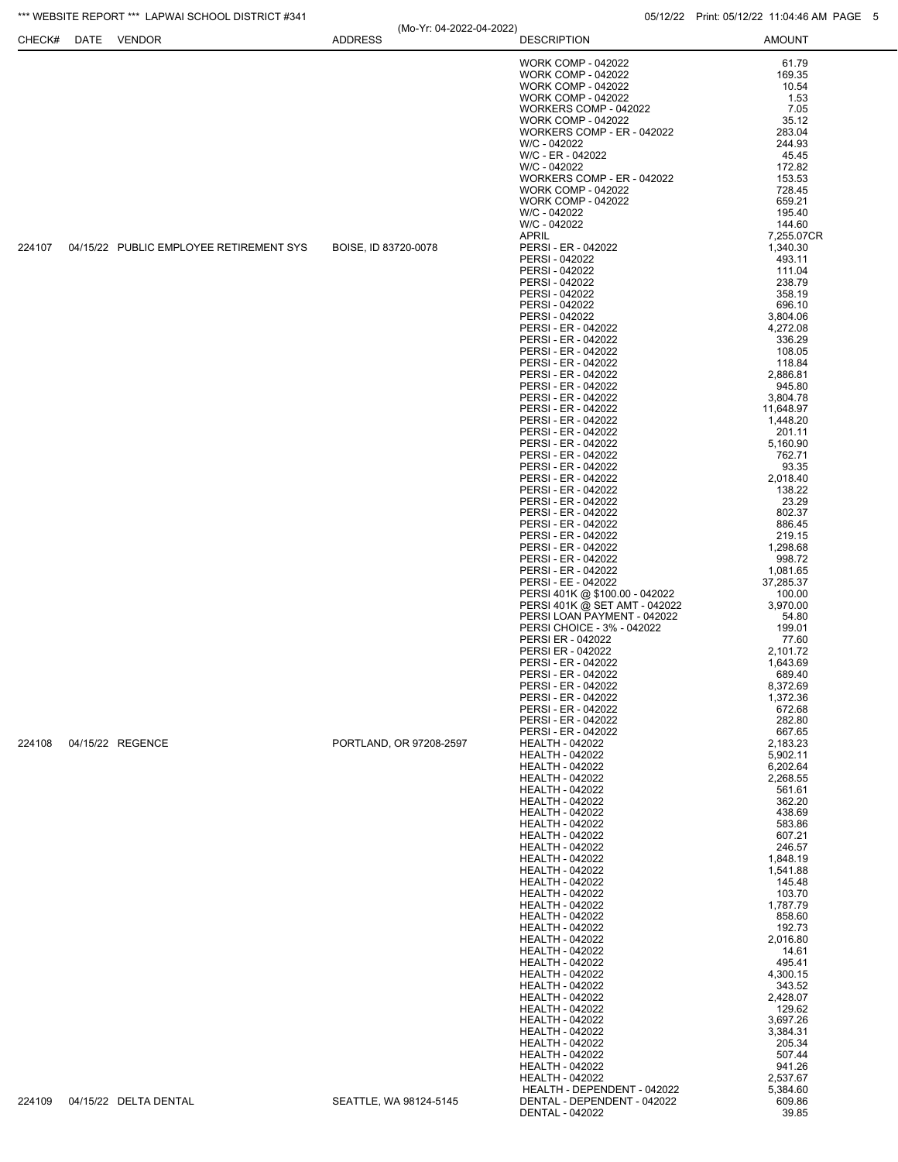## \*\*\* WEBSITE REPORT \*\*\* LAPWAI SCHOOL DISTRICT #341 05/12/22 Print: 05/12/22 Print: 05/12/22 11:04:46 AM PAGE 5

| CHECK# | DATE | VENDOR                                  | (Mo-Yr: 04-2022-04-2022)<br><b>ADDRESS</b> | <b>DESCRIPTION</b>                                                                                                                                                                                                                                                                                                                                                                                                                                                                                                                                                                                                                                                                                                                                                                                                                                                   | <b>AMOUNT</b>                                                                                                                                                                                                                                                                                                                                                                                    |
|--------|------|-----------------------------------------|--------------------------------------------|----------------------------------------------------------------------------------------------------------------------------------------------------------------------------------------------------------------------------------------------------------------------------------------------------------------------------------------------------------------------------------------------------------------------------------------------------------------------------------------------------------------------------------------------------------------------------------------------------------------------------------------------------------------------------------------------------------------------------------------------------------------------------------------------------------------------------------------------------------------------|--------------------------------------------------------------------------------------------------------------------------------------------------------------------------------------------------------------------------------------------------------------------------------------------------------------------------------------------------------------------------------------------------|
|        |      |                                         |                                            | <b>WORK COMP - 042022</b><br><b>WORK COMP - 042022</b><br><b>WORK COMP - 042022</b><br><b>WORK COMP - 042022</b><br>WORKERS COMP - 042022<br><b>WORK COMP - 042022</b><br>WORKERS COMP - ER - 042022<br>W/C - 042022<br>W/C - ER - 042022<br>W/C - 042022                                                                                                                                                                                                                                                                                                                                                                                                                                                                                                                                                                                                            | 61.79<br>169.35<br>10.54<br>1.53<br>7.05<br>35.12<br>283.04<br>244.93<br>45.45<br>172.82                                                                                                                                                                                                                                                                                                         |
| 224107 |      | 04/15/22 PUBLIC EMPLOYEE RETIREMENT SYS | BOISE, ID 83720-0078                       | WORKERS COMP - ER - 042022<br><b>WORK COMP - 042022</b><br><b>WORK COMP - 042022</b><br>W/C - 042022<br>W/C - 042022<br><b>APRIL</b><br>PERSI - ER - 042022<br>PERSI - 042022<br>PERSI - 042022                                                                                                                                                                                                                                                                                                                                                                                                                                                                                                                                                                                                                                                                      | 153.53<br>728.45<br>659.21<br>195.40<br>144.60<br>7,255.07CR<br>1,340.30<br>493.11<br>111.04                                                                                                                                                                                                                                                                                                     |
|        |      |                                         |                                            | PERSI - 042022<br>PERSI - 042022<br>PERSI - 042022<br>PERSI - 042022<br>PERSI - ER - 042022<br>PERSI - ER - 042022<br>PERSI - ER - 042022<br>PERSI - ER - 042022<br>PERSI - ER - 042022<br>PERSI - ER - 042022<br>PERSI - ER - 042022<br>PERSI - ER - 042022<br>PERSI - ER - 042022<br>PERSI - ER - 042022<br>PERSI - ER - 042022<br>PERSI - ER - 042022<br>PERSI - ER - 042022<br>PERSI - ER - 042022<br>PERSI - ER - 042022<br>PERSI - ER - 042022<br>PERSI - ER - 042022<br>PERSI - ER - 042022<br>PERSI - ER - 042022<br>PERSI - ER - 042022<br>PERSI - ER - 042022<br>PERSI - ER - 042022<br>PERSI - EE - 042022<br>PERSI 401K @ \$100.00 - 042022<br>PERSI 401K @ SET AMT - 042022<br>PERSI LOAN PAYMENT - 042022<br>PERSI CHOICE - 3% - 042022<br>PERSI ER - 042022<br>PERSI ER - 042022<br>PERSI - ER - 042022<br>PERSI - ER - 042022<br>PERSI - ER - 042022 | 238.79<br>358.19<br>696.10<br>3,804.06<br>4,272.08<br>336.29<br>108.05<br>118.84<br>2,886.81<br>945.80<br>3,804.78<br>11,648.97<br>1,448.20<br>201.11<br>5,160.90<br>762.71<br>93.35<br>2,018.40<br>138.22<br>23.29<br>802.37<br>886.45<br>219.15<br>1,298.68<br>998.72<br>1,081.65<br>37,285.37<br>100.00<br>3,970.00<br>54.80<br>199.01<br>77.60<br>2,101.72<br>1.643.69<br>689.40<br>8,372.69 |
|        |      |                                         |                                            | PERSI - ER - 042022<br>PERSI - ER - 042022<br>PERSI - ER - 042022<br>PERSI - ER - 042022                                                                                                                                                                                                                                                                                                                                                                                                                                                                                                                                                                                                                                                                                                                                                                             | 1,372.36<br>672.68<br>282.80<br>667.65                                                                                                                                                                                                                                                                                                                                                           |
| 224108 |      | 04/15/22 REGENCE                        | PORTLAND, OR 97208-2597                    | <b>HEALTH - 042022</b><br><b>HEALTH - 042022</b><br><b>HEALTH - 042022</b><br><b>HEALTH - 042022</b><br><b>HEALTH - 042022</b><br><b>HEALTH - 042022</b><br><b>HEALTH - 042022</b><br><b>HEALTH - 042022</b><br><b>HEALTH - 042022</b><br><b>HEALTH - 042022</b><br><b>HEALTH - 042022</b><br><b>HEALTH - 042022</b><br><b>HEALTH - 042022</b><br><b>HEALTH - 042022</b><br><b>HEALTH - 042022</b><br><b>HEALTH - 042022</b><br><b>HEALTH - 042022</b><br><b>HEALTH - 042022</b><br><b>HEALTH - 042022</b><br><b>HEALTH - 042022</b><br><b>HEALTH - 042022</b><br><b>HEALTH - 042022</b><br><b>HEALTH - 042022</b><br><b>HEALTH - 042022</b><br><b>HEALTH - 042022</b><br><b>HEALTH - 042022</b><br><b>HEALTH - 042022</b><br><b>HEALTH - 042022</b><br><b>HEALTH - 042022</b><br><b>HEALTH - 042022</b><br>HEALTH - DEPENDENT - 042022                              | 2,183.23<br>5,902.11<br>6,202.64<br>2,268.55<br>561.61<br>362.20<br>438.69<br>583.86<br>607.21<br>246.57<br>1,848.19<br>1,541.88<br>145.48<br>103.70<br>1,787.79<br>858.60<br>192.73<br>2,016.80<br>14.61<br>495.41<br>4,300.15<br>343.52<br>2,428.07<br>129.62<br>3,697.26<br>3,384.31<br>205.34<br>507.44<br>941.26<br>2,537.67<br>5,384.60                                                    |
| 224109 |      | 04/15/22 DELTA DENTAL                   | SEATTLE, WA 98124-5145                     | DENTAL - DEPENDENT - 042022<br>DENTAL - 042022                                                                                                                                                                                                                                                                                                                                                                                                                                                                                                                                                                                                                                                                                                                                                                                                                       | 609.86<br>39.85                                                                                                                                                                                                                                                                                                                                                                                  |